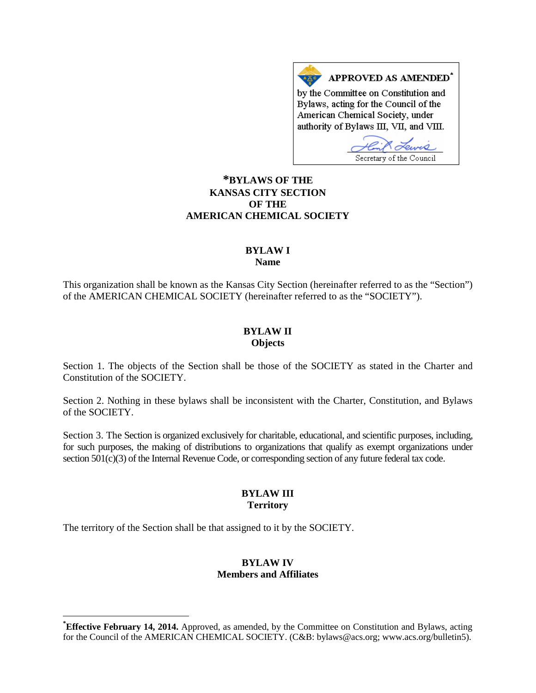APPROVED AS AMENDED<sup>\*</sup> by the Committee on Constitution and Bylaws, acting for the Council of the American Chemical Society, under authority of Bylaws III, VII, and VIII.

Secretary of the Council

# **[\\*B](#page-0-0)YLAWS OF THE KANSAS CITY SECTION OF THE AMERICAN CHEMICAL SOCIETY**

#### **BYLAW I Name**

This organization shall be known as the Kansas City Section (hereinafter referred to as the "Section") of the AMERICAN CHEMICAL SOCIETY (hereinafter referred to as the "SOCIETY").

#### **BYLAW II Objects**

Section 1. The objects of the Section shall be those of the SOCIETY as stated in the Charter and Constitution of the SOCIETY.

Section 2. Nothing in these bylaws shall be inconsistent with the Charter, Constitution, and Bylaws of the SOCIETY.

Section 3. The Section is organized exclusively for charitable, educational, and scientific purposes, including, for such purposes, the making of distributions to organizations that qualify as exempt organizations under section 501(c)(3) of the Internal Revenue Code, or corresponding section of any future federal tax code.

## **BYLAW III Territory**

The territory of the Section shall be that assigned to it by the SOCIETY.

## **BYLAW IV Members and Affiliates**

<span id="page-0-0"></span>**\* Effective February 14, 2014.** Approved, as amended, by the Committee on Constitution and Bylaws, acting for the Council of the AMERICAN CHEMICAL SOCIETY. (C&B: bylaws@acs.org; www.acs.org/bulletin5).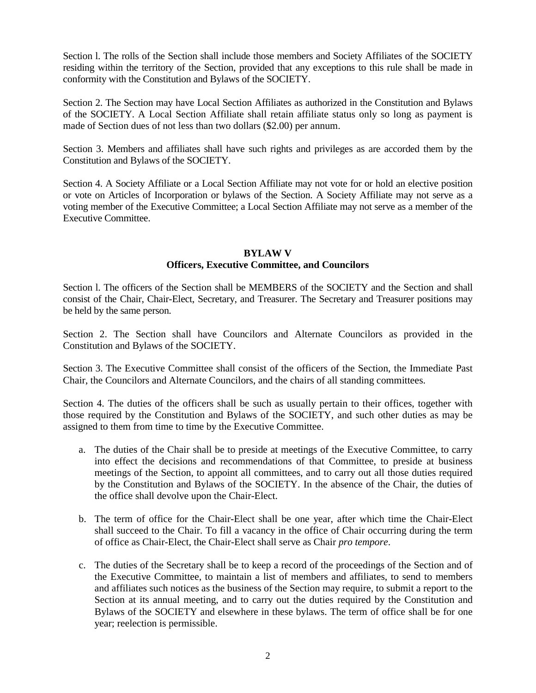Section l. The rolls of the Section shall include those members and Society Affiliates of the SOCIETY residing within the territory of the Section, provided that any exceptions to this rule shall be made in conformity with the Constitution and Bylaws of the SOCIETY.

Section 2. The Section may have Local Section Affiliates as authorized in the Constitution and Bylaws of the SOCIETY. A Local Section Affiliate shall retain affiliate status only so long as payment is made of Section dues of not less than two dollars (\$2.00) per annum.

Section 3. Members and affiliates shall have such rights and privileges as are accorded them by the Constitution and Bylaws of the SOCIETY.

Section 4. A Society Affiliate or a Local Section Affiliate may not vote for or hold an elective position or vote on Articles of Incorporation or bylaws of the Section. A Society Affiliate may not serve as a voting member of the Executive Committee; a Local Section Affiliate may not serve as a member of the Executive Committee.

#### **BYLAW V**

### **Officers, Executive Committee, and Councilors**

Section l. The officers of the Section shall be MEMBERS of the SOCIETY and the Section and shall consist of the Chair, Chair-Elect, Secretary, and Treasurer. The Secretary and Treasurer positions may be held by the same person.

Section 2. The Section shall have Councilors and Alternate Councilors as provided in the Constitution and Bylaws of the SOCIETY.

Section 3. The Executive Committee shall consist of the officers of the Section, the Immediate Past Chair, the Councilors and Alternate Councilors, and the chairs of all standing committees.

Section 4. The duties of the officers shall be such as usually pertain to their offices, together with those required by the Constitution and Bylaws of the SOCIETY, and such other duties as may be assigned to them from time to time by the Executive Committee.

- a. The duties of the Chair shall be to preside at meetings of the Executive Committee, to carry into effect the decisions and recommendations of that Committee, to preside at business meetings of the Section, to appoint all committees, and to carry out all those duties required by the Constitution and Bylaws of the SOCIETY. In the absence of the Chair, the duties of the office shall devolve upon the Chair-Elect.
- b. The term of office for the Chair-Elect shall be one year, after which time the Chair-Elect shall succeed to the Chair. To fill a vacancy in the office of Chair occurring during the term of office as Chair-Elect, the Chair-Elect shall serve as Chair *pro tempore*.
- c. The duties of the Secretary shall be to keep a record of the proceedings of the Section and of the Executive Committee, to maintain a list of members and affiliates, to send to members and affiliates such notices as the business of the Section may require, to submit a report to the Section at its annual meeting, and to carry out the duties required by the Constitution and Bylaws of the SOCIETY and elsewhere in these bylaws. The term of office shall be for one year; reelection is permissible.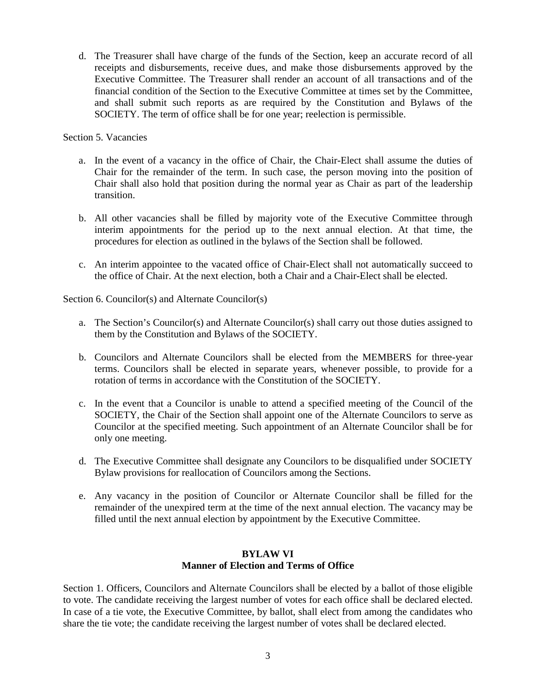d. The Treasurer shall have charge of the funds of the Section, keep an accurate record of all receipts and disbursements, receive dues, and make those disbursements approved by the Executive Committee. The Treasurer shall render an account of all transactions and of the financial condition of the Section to the Executive Committee at times set by the Committee, and shall submit such reports as are required by the Constitution and Bylaws of the SOCIETY. The term of office shall be for one year; reelection is permissible.

Section 5. Vacancies

- a. In the event of a vacancy in the office of Chair, the Chair-Elect shall assume the duties of Chair for the remainder of the term. In such case, the person moving into the position of Chair shall also hold that position during the normal year as Chair as part of the leadership transition.
- b. All other vacancies shall be filled by majority vote of the Executive Committee through interim appointments for the period up to the next annual election. At that time, the procedures for election as outlined in the bylaws of the Section shall be followed.
- c. An interim appointee to the vacated office of Chair-Elect shall not automatically succeed to the office of Chair. At the next election, both a Chair and a Chair-Elect shall be elected.

Section 6. Councilor(s) and Alternate Councilor(s)

- a. The Section's Councilor(s) and Alternate Councilor(s) shall carry out those duties assigned to them by the Constitution and Bylaws of the SOCIETY.
- b. Councilors and Alternate Councilors shall be elected from the MEMBERS for three-year terms. Councilors shall be elected in separate years, whenever possible, to provide for a rotation of terms in accordance with the Constitution of the SOCIETY.
- c. In the event that a Councilor is unable to attend a specified meeting of the Council of the SOCIETY, the Chair of the Section shall appoint one of the Alternate Councilors to serve as Councilor at the specified meeting. Such appointment of an Alternate Councilor shall be for only one meeting.
- d. The Executive Committee shall designate any Councilors to be disqualified under SOCIETY Bylaw provisions for reallocation of Councilors among the Sections.
- e. Any vacancy in the position of Councilor or Alternate Councilor shall be filled for the remainder of the unexpired term at the time of the next annual election. The vacancy may be filled until the next annual election by appointment by the Executive Committee.

# **BYLAW VI Manner of Election and Terms of Office**

Section 1. Officers, Councilors and Alternate Councilors shall be elected by a ballot of those eligible to vote. The candidate receiving the largest number of votes for each office shall be declared elected. In case of a tie vote, the Executive Committee, by ballot, shall elect from among the candidates who share the tie vote; the candidate receiving the largest number of votes shall be declared elected.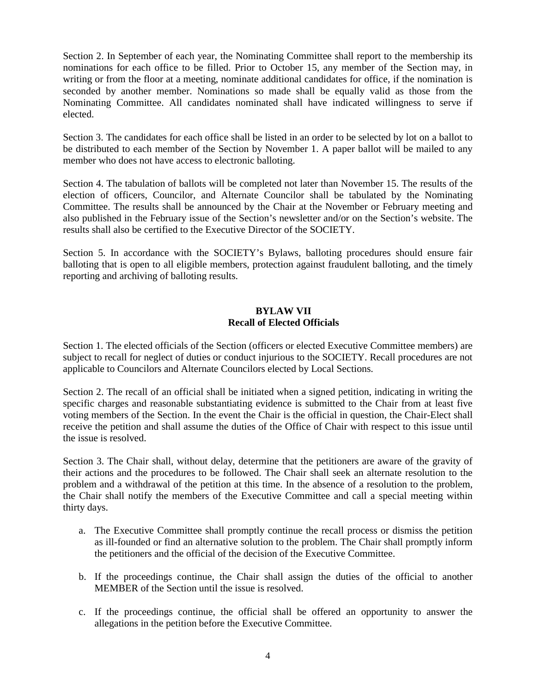Section 2. In September of each year, the Nominating Committee shall report to the membership its nominations for each office to be filled. Prior to October 15, any member of the Section may, in writing or from the floor at a meeting, nominate additional candidates for office, if the nomination is seconded by another member. Nominations so made shall be equally valid as those from the Nominating Committee. All candidates nominated shall have indicated willingness to serve if elected.

Section 3. The candidates for each office shall be listed in an order to be selected by lot on a ballot to be distributed to each member of the Section by November 1. A paper ballot will be mailed to any member who does not have access to electronic balloting.

Section 4. The tabulation of ballots will be completed not later than November 15. The results of the election of officers, Councilor, and Alternate Councilor shall be tabulated by the Nominating Committee. The results shall be announced by the Chair at the November or February meeting and also published in the February issue of the Section's newsletter and/or on the Section's website. The results shall also be certified to the Executive Director of the SOCIETY.

Section 5. In accordance with the SOCIETY's Bylaws, balloting procedures should ensure fair balloting that is open to all eligible members, protection against fraudulent balloting, and the timely reporting and archiving of balloting results.

## **BYLAW VII Recall of Elected Officials**

Section 1. The elected officials of the Section (officers or elected Executive Committee members) are subject to recall for neglect of duties or conduct injurious to the SOCIETY. Recall procedures are not applicable to Councilors and Alternate Councilors elected by Local Sections.

Section 2. The recall of an official shall be initiated when a signed petition, indicating in writing the specific charges and reasonable substantiating evidence is submitted to the Chair from at least five voting members of the Section. In the event the Chair is the official in question, the Chair-Elect shall receive the petition and shall assume the duties of the Office of Chair with respect to this issue until the issue is resolved.

Section 3. The Chair shall, without delay, determine that the petitioners are aware of the gravity of their actions and the procedures to be followed. The Chair shall seek an alternate resolution to the problem and a withdrawal of the petition at this time. In the absence of a resolution to the problem, the Chair shall notify the members of the Executive Committee and call a special meeting within thirty days.

- a. The Executive Committee shall promptly continue the recall process or dismiss the petition as ill-founded or find an alternative solution to the problem. The Chair shall promptly inform the petitioners and the official of the decision of the Executive Committee.
- b. If the proceedings continue, the Chair shall assign the duties of the official to another MEMBER of the Section until the issue is resolved.
- c. If the proceedings continue, the official shall be offered an opportunity to answer the allegations in the petition before the Executive Committee.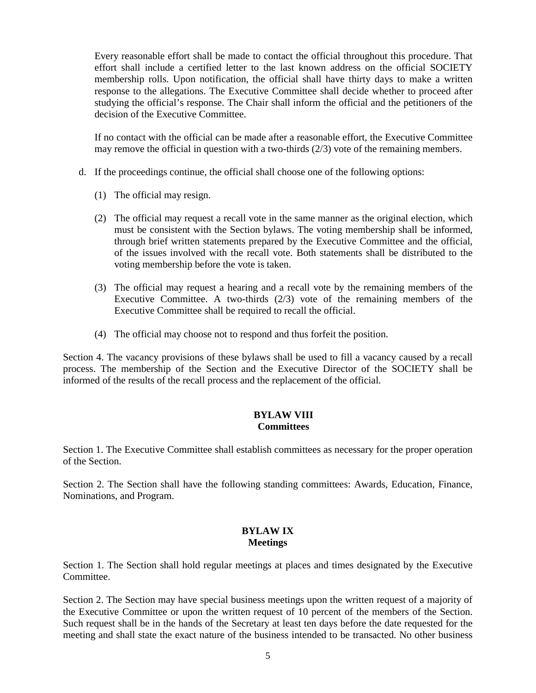Every reasonable effort shall be made to contact the official throughout this procedure. That effort shall include a certified letter to the last known address on the official SOCIETY membership rolls. Upon notification, the official shall have thirty days to make a written response to the allegations. The Executive Committee shall decide whether to proceed after studying the official's response. The Chair shall inform the official and the petitioners of the decision of the Executive Committee.

If no contact with the official can be made after a reasonable effort, the Executive Committee may remove the official in question with a two-thirds (2/3) vote of the remaining members.

- d. If the proceedings continue, the official shall choose one of the following options:
	- (1) The official may resign.
	- (2) The official may request a recall vote in the same manner as the original election, which must be consistent with the Section bylaws. The voting membership shall be informed, through brief written statements prepared by the Executive Committee and the official, of the issues involved with the recall vote. Both statements shall be distributed to the voting membership before the vote is taken.
	- (3) The official may request a hearing and a recall vote by the remaining members of the Executive Committee. A two-thirds (2/3) vote of the remaining members of the Executive Committee shall be required to recall the official.
	- (4) The official may choose not to respond and thus forfeit the position.

Section 4. The vacancy provisions of these bylaws shall be used to fill a vacancy caused by a recall process. The membership of the Section and the Executive Director of the SOCIETY shall be informed of the results of the recall process and the replacement of the official.

### **BYLAW VIII Committees**

Section 1. The Executive Committee shall establish committees as necessary for the proper operation of the Section.

Section 2. The Section shall have the following standing committees: Awards, Education, Finance, Nominations, and Program.

## **BYLAW IX Meetings**

Section 1. The Section shall hold regular meetings at places and times designated by the Executive Committee.

Section 2. The Section may have special business meetings upon the written request of a majority of the Executive Committee or upon the written request of 10 percent of the members of the Section. Such request shall be in the hands of the Secretary at least ten days before the date requested for the meeting and shall state the exact nature of the business intended to be transacted. No other business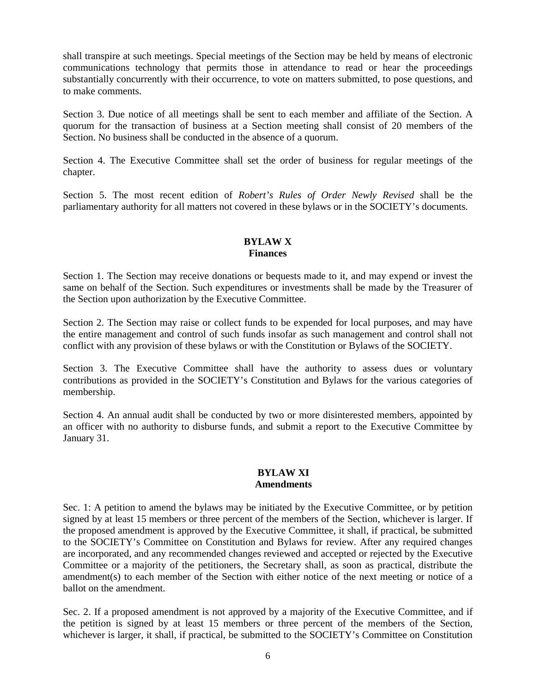shall transpire at such meetings. Special meetings of the Section may be held by means of electronic communications technology that permits those in attendance to read or hear the proceedings substantially concurrently with their occurrence, to vote on matters submitted, to pose questions, and to make comments.

Section 3. Due notice of all meetings shall be sent to each member and affiliate of the Section. A quorum for the transaction of business at a Section meeting shall consist of 20 members of the Section. No business shall be conducted in the absence of a quorum.

Section 4. The Executive Committee shall set the order of business for regular meetings of the chapter.

Section 5. The most recent edition of *Robert's Rules of Order Newly Revised* shall be the parliamentary authority for all matters not covered in these bylaws or in the SOCIETY's documents.

# **BYLAW X Finances**

Section 1. The Section may receive donations or bequests made to it, and may expend or invest the same on behalf of the Section. Such expenditures or investments shall be made by the Treasurer of the Section upon authorization by the Executive Committee.

Section 2. The Section may raise or collect funds to be expended for local purposes, and may have the entire management and control of such funds insofar as such management and control shall not conflict with any provision of these bylaws or with the Constitution or Bylaws of the SOCIETY.

Section 3. The Executive Committee shall have the authority to assess dues or voluntary contributions as provided in the SOCIETY's Constitution and Bylaws for the various categories of membership.

Section 4. An annual audit shall be conducted by two or more disinterested members, appointed by an officer with no authority to disburse funds, and submit a report to the Executive Committee by January 31.

#### **BYLAW XI Amendments**

Sec. 1: A petition to amend the bylaws may be initiated by the Executive Committee, or by petition signed by at least 15 members or three percent of the members of the Section, whichever is larger. If the proposed amendment is approved by the Executive Committee, it shall, if practical, be submitted to the SOCIETY's Committee on Constitution and Bylaws for review. After any required changes are incorporated, and any recommended changes reviewed and accepted or rejected by the Executive Committee or a majority of the petitioners, the Secretary shall, as soon as practical, distribute the amendment(s) to each member of the Section with either notice of the next meeting or notice of a ballot on the amendment.

Sec. 2. If a proposed amendment is not approved by a majority of the Executive Committee, and if the petition is signed by at least 15 members or three percent of the members of the Section, whichever is larger, it shall, if practical, be submitted to the SOCIETY's Committee on Constitution